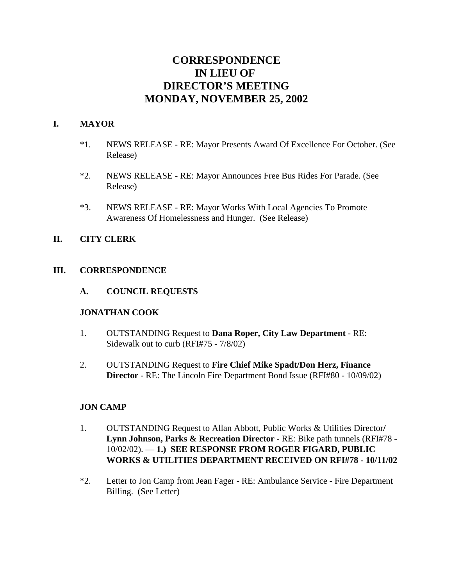# **CORRESPONDENCE IN LIEU OF DIRECTOR'S MEETING MONDAY, NOVEMBER 25, 2002**

# **I. MAYOR**

- \*1. NEWS RELEASE RE: Mayor Presents Award Of Excellence For October. (See Release)
- \*2. NEWS RELEASE RE: Mayor Announces Free Bus Rides For Parade. (See Release)
- \*3. NEWS RELEASE RE: Mayor Works With Local Agencies To Promote Awareness Of Homelessness and Hunger. (See Release)

# **II. CITY CLERK**

# **III. CORRESPONDENCE**

**A. COUNCIL REQUESTS**

# **JONATHAN COOK**

- 1. OUTSTANDING Request to **Dana Roper, City Law Department** RE: Sidewalk out to curb (RFI#75 - 7/8/02)
- 2. OUTSTANDING Request to **Fire Chief Mike Spadt/Don Herz, Finance Director** - RE: The Lincoln Fire Department Bond Issue (RFI#80 - 10/09/02)

# **JON CAMP**

- 1. OUTSTANDING Request to Allan Abbott, Public Works & Utilities Director**/ Lynn Johnson, Parks & Recreation Director** - RE: Bike path tunnels (RFI#78 - 10/02/02). — **1.) SEE RESPONSE FROM ROGER FIGARD, PUBLIC WORKS & UTILITIES DEPARTMENT RECEIVED ON RFI#78 - 10/11/02**
- \*2. Letter to Jon Camp from Jean Fager RE: Ambulance Service Fire Department Billing. (See Letter)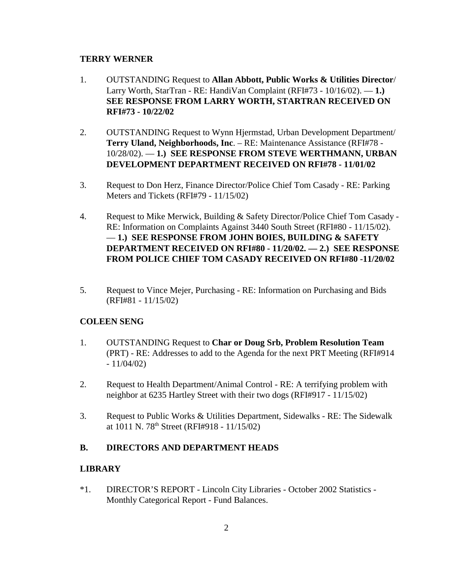### **TERRY WERNER**

- 1. OUTSTANDING Request to **Allan Abbott, Public Works & Utilities Director**/ Larry Worth, StarTran - RE: HandiVan Complaint (RFI#73 - 10/16/02). — **1.) SEE RESPONSE FROM LARRY WORTH, STARTRAN RECEIVED ON RFI#73 - 10/22/02**
- 2. OUTSTANDING Request to Wynn Hjermstad, Urban Development Department/ **Terry Uland, Neighborhoods, Inc**. – RE: Maintenance Assistance (RFI#78 - 10/28/02). — **1.) SEE RESPONSE FROM STEVE WERTHMANN, URBAN DEVELOPMENT DEPARTMENT RECEIVED ON RFI#78 - 11/01/02**
- 3. Request to Don Herz, Finance Director/Police Chief Tom Casady RE: Parking Meters and Tickets (RFI#79 - 11/15/02)
- 4. Request to Mike Merwick, Building & Safety Director/Police Chief Tom Casady RE: Information on Complaints Against 3440 South Street (RFI#80 - 11/15/02). — **1.) SEE RESPONSE FROM JOHN BOIES, BUILDING & SAFETY DEPARTMENT RECEIVED ON RFI#80 - 11/20/02. — 2.) SEE RESPONSE FROM POLICE CHIEF TOM CASADY RECEIVED ON RFI#80 -11/20/02**
- 5. Request to Vince Mejer, Purchasing RE: Information on Purchasing and Bids (RFI#81 - 11/15/02)

### **COLEEN SENG**

- 1. OUTSTANDING Request to **Char or Doug Srb, Problem Resolution Team** (PRT) - RE: Addresses to add to the Agenda for the next PRT Meeting (RFI#914  $-11/04/02$
- 2. Request to Health Department/Animal Control RE: A terrifying problem with neighbor at 6235 Hartley Street with their two dogs (RFI#917 - 11/15/02)
- 3. Request to Public Works & Utilities Department, Sidewalks RE: The Sidewalk at  $1011$  N. 78<sup>th</sup> Street (RFI#918 - 11/15/02)

# **B. DIRECTORS AND DEPARTMENT HEADS**

### **LIBRARY**

\*1. DIRECTOR'S REPORT - Lincoln City Libraries - October 2002 Statistics - Monthly Categorical Report - Fund Balances.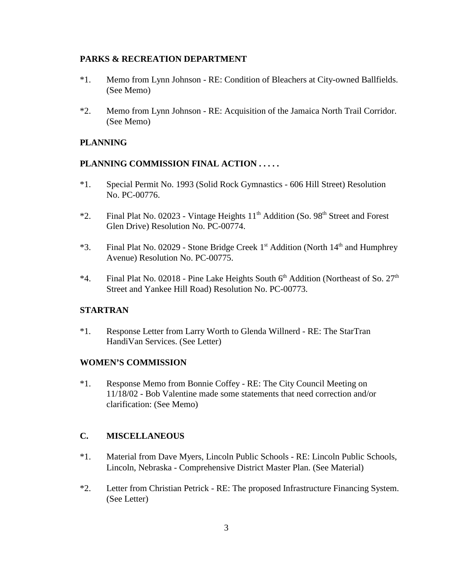#### **PARKS & RECREATION DEPARTMENT**

- \*1. Memo from Lynn Johnson RE: Condition of Bleachers at City-owned Ballfields. (See Memo)
- \*2. Memo from Lynn Johnson RE: Acquisition of the Jamaica North Trail Corridor. (See Memo)

### **PLANNING**

### **PLANNING COMMISSION FINAL ACTION . . . . .**

- \*1. Special Permit No. 1993 (Solid Rock Gymnastics 606 Hill Street) Resolution No. PC-00776.
- \*2. Final Plat No. 02023 Vintage Heights 11<sup>th</sup> Addition (So. 98<sup>th</sup> Street and Forest Glen Drive) Resolution No. PC-00774.
- \*3. Final Plat No. 02029 Stone Bridge Creek 1st Addition (North 14<sup>th</sup> and Humphrey Avenue) Resolution No. PC-00775.
- \*4. Final Plat No. 02018 Pine Lake Heights South  $6<sup>th</sup>$  Addition (Northeast of So.  $27<sup>th</sup>$ Street and Yankee Hill Road) Resolution No. PC-00773.

### **STARTRAN**

\*1. Response Letter from Larry Worth to Glenda Willnerd - RE: The StarTran HandiVan Services. (See Letter)

#### **WOMEN'S COMMISSION**

\*1. Response Memo from Bonnie Coffey - RE: The City Council Meeting on 11/18/02 - Bob Valentine made some statements that need correction and/or clarification: (See Memo)

### **C. MISCELLANEOUS**

- \*1. Material from Dave Myers, Lincoln Public Schools RE: Lincoln Public Schools, Lincoln, Nebraska - Comprehensive District Master Plan. (See Material)
- \*2. Letter from Christian Petrick RE: The proposed Infrastructure Financing System. (See Letter)